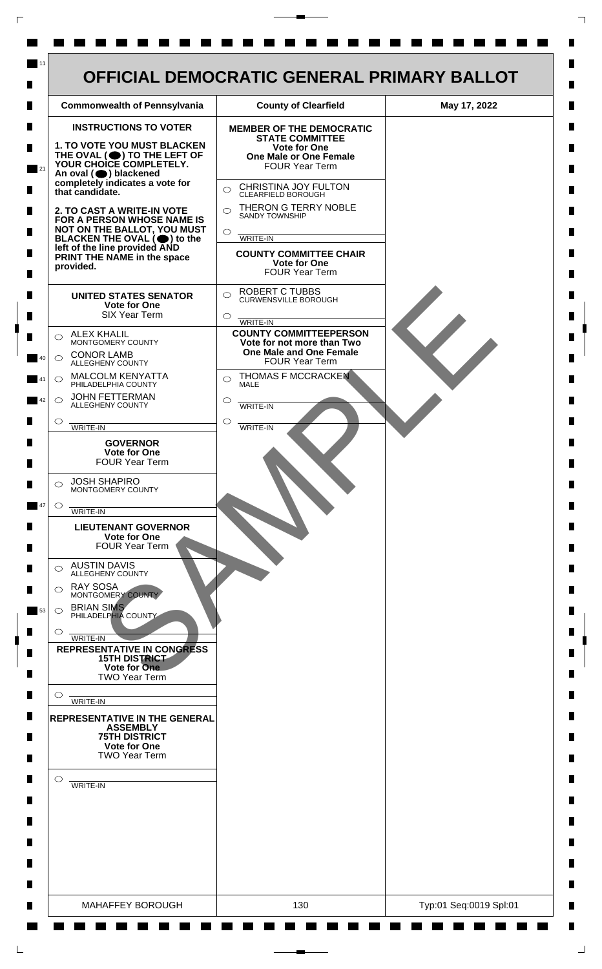

 $\mathsf{L}$